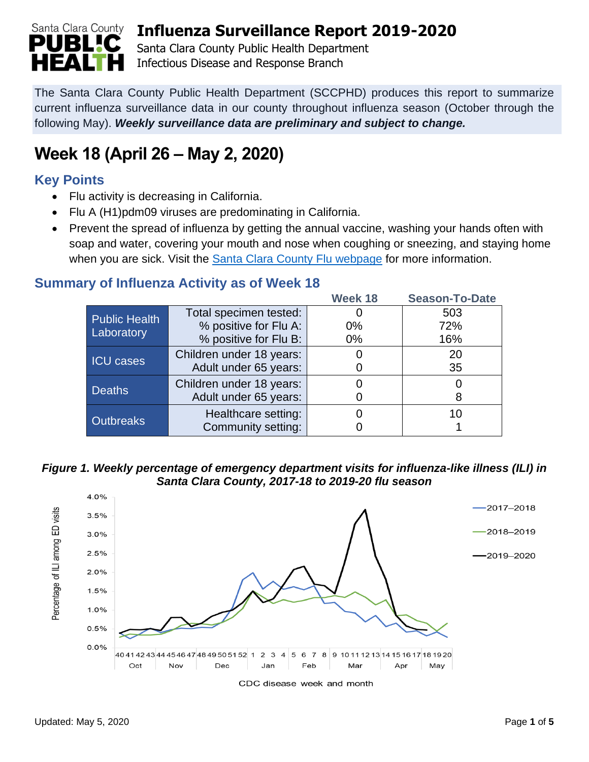

Santa Clara County Public Health Department Infectious Disease and Response Branch

The Santa Clara County Public Health Department (SCCPHD) produces this report to summarize current influenza surveillance data in our county throughout influenza season (October through the following May). *Weekly surveillance data are preliminary and subject to change.*

# **Week 18 (April 26 – May 2, 2020)**

## **Key Points**

- Flu activity is decreasing in California.
- Flu A (H1)pdm09 viruses are predominating in California.
- Prevent the spread of influenza by getting the annual vaccine, washing your hands often with soap and water, covering your mouth and nose when coughing or sneezing, and staying home when you are sick. Visit the [Santa Clara County Flu webpage](https://www.sccgov.org/sites/phd/diseaseinformation/influenza/pages/flu-home.aspx) for more information.

## **Summary of Influenza Activity as of Week 18**

|                      |                          | Week 18 | <b>Season-To-Date</b> |
|----------------------|--------------------------|---------|-----------------------|
| <b>Public Health</b> | Total specimen tested:   |         | 503                   |
| Laboratory           | % positive for Flu A:    | $0\%$   | 72%                   |
|                      | % positive for Flu B:    | $0\%$   | 16%                   |
| <b>ICU</b> cases     | Children under 18 years: |         | 20                    |
|                      | Adult under 65 years:    |         | 35                    |
|                      | Children under 18 years: |         |                       |
| <b>Deaths</b>        | Adult under 65 years:    |         |                       |
|                      | Healthcare setting:      |         | 10                    |
| <b>Outbreaks</b>     | Community setting:       |         |                       |

*Figure 1. Weekly percentage of emergency department visits for influenza-like illness (ILI) in Santa Clara County, 2017-18 to 2019-20 flu season*



CDC disease week and month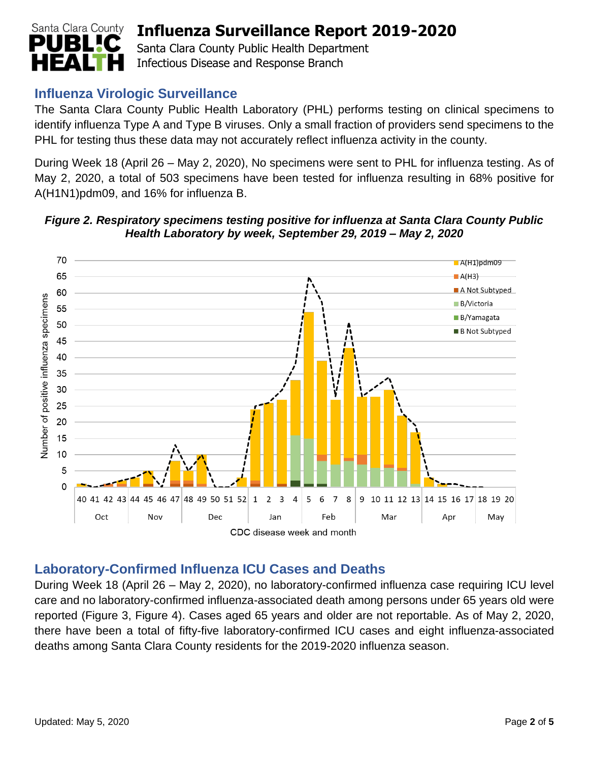

Santa Clara County Public Health Department Infectious Disease and Response Branch

### **Influenza Virologic Surveillance**

The Santa Clara County Public Health Laboratory (PHL) performs testing on clinical specimens to identify influenza Type A and Type B viruses. Only a small fraction of providers send specimens to the PHL for testing thus these data may not accurately reflect influenza activity in the county.

During Week 18 (April 26 – May 2, 2020), No specimens were sent to PHL for influenza testing. As of May 2, 2020, a total of 503 specimens have been tested for influenza resulting in 68% positive for A(H1N1)pdm09, and 16% for influenza B.



#### *Figure 2. Respiratory specimens testing positive for influenza at Santa Clara County Public Health Laboratory by week, September 29, 2019 – May 2, 2020*

#### **Laboratory-Confirmed Influenza ICU Cases and Deaths**

During Week 18 (April 26 – May 2, 2020), no laboratory-confirmed influenza case requiring ICU level care and no laboratory-confirmed influenza-associated death among persons under 65 years old were reported (Figure 3, Figure 4). Cases aged 65 years and older are not reportable. As of May 2, 2020, there have been a total of fifty-five laboratory-confirmed ICU cases and eight influenza-associated deaths among Santa Clara County residents for the 2019-2020 influenza season.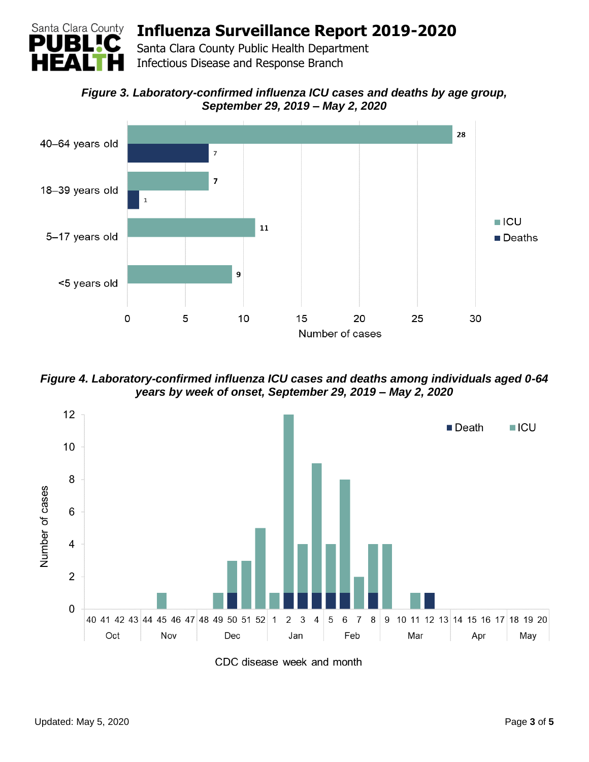

Santa Clara County Public Health Department Infectious Disease and Response Branch

*Figure 3. Laboratory-confirmed influenza ICU cases and deaths by age group, September 29, 2019 – May 2, 2020*



*Figure 4. Laboratory-confirmed influenza ICU cases and deaths among individuals aged 0-64 years by week of onset, September 29, 2019 – May 2, 2020*

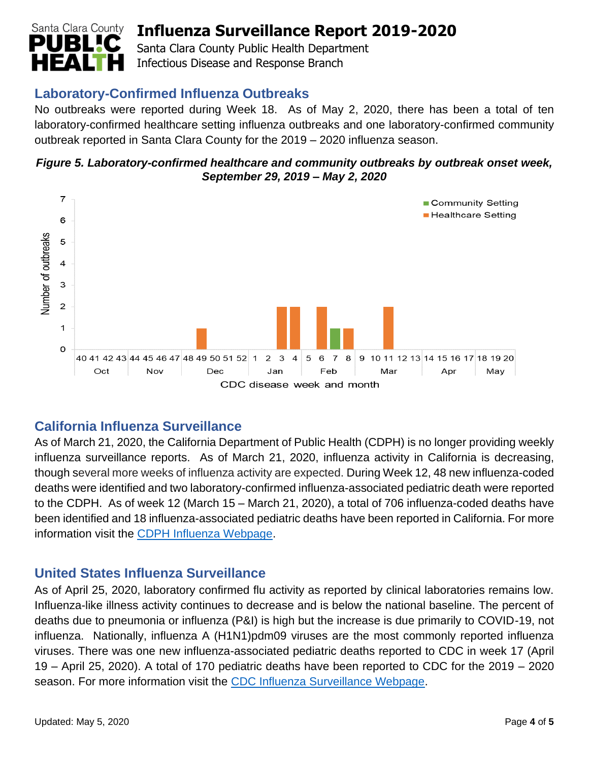

Santa Clara County Public Health Department Infectious Disease and Response Branch

## **Laboratory-Confirmed Influenza Outbreaks**

No outbreaks were reported during Week 18. As of May 2, 2020, there has been a total of ten laboratory-confirmed healthcare setting influenza outbreaks and one laboratory-confirmed community outbreak reported in Santa Clara County for the 2019 – 2020 influenza season.





### **California Influenza Surveillance**

As of March 21, 2020, the California Department of Public Health (CDPH) is no longer providing weekly influenza surveillance reports. As of March 21, 2020, influenza activity in California is decreasing, though several more weeks of influenza activity are expected. During Week 12, 48 new influenza-coded deaths were identified and two laboratory-confirmed influenza-associated pediatric death were reported to the CDPH. As of week 12 (March 15 – March 21, 2020), a total of 706 influenza-coded deaths have been identified and 18 influenza-associated pediatric deaths have been reported in California. For more information visit the [CDPH Influenza Webpage.](https://www.cdph.ca.gov/Programs/CID/DCDC/pages/immunization/influenza.aspx)

### **United States Influenza Surveillance**

As of April 25, 2020, laboratory confirmed flu activity as reported by clinical laboratories remains low. Influenza-like illness activity continues to decrease and is below the national baseline. The percent of deaths due to pneumonia or influenza (P&I) is high but the increase is due primarily to COVID-19, not influenza. Nationally, influenza A (H1N1)pdm09 viruses are the most commonly reported influenza viruses. There was one new influenza-associated pediatric deaths reported to CDC in week 17 (April 19 – April 25, 2020). A total of 170 pediatric deaths have been reported to CDC for the 2019 – 2020 season. For more information visit the [CDC Influenza Surveillance Webpage.](http://www.cdc.gov/flu/weekly/)